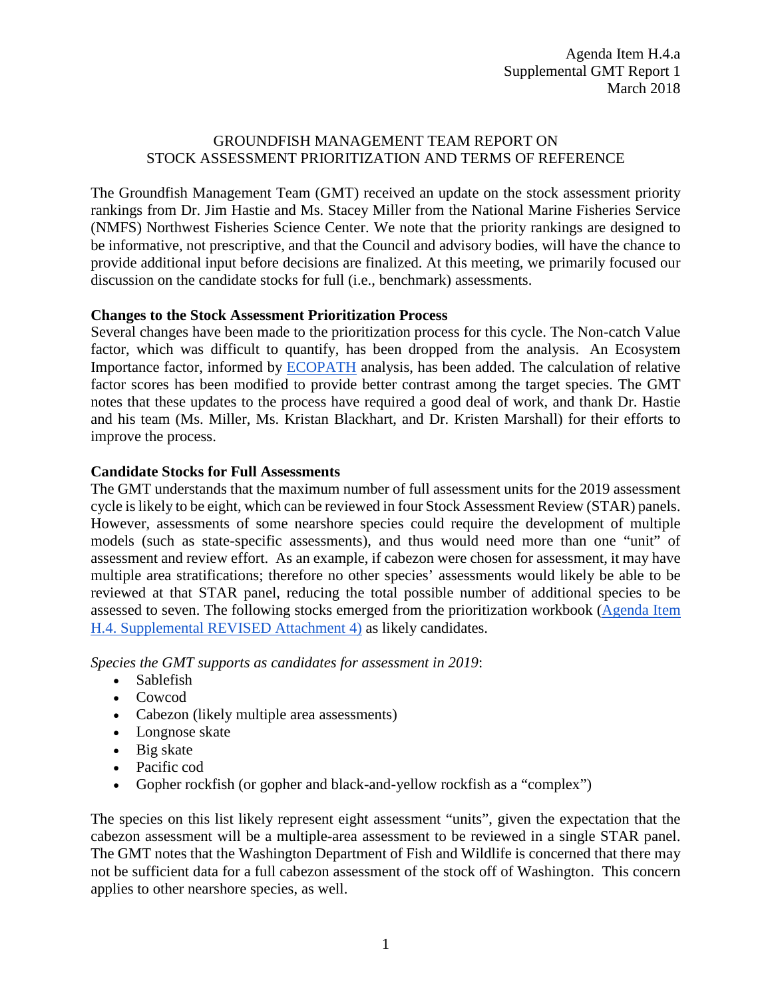## GROUNDFISH MANAGEMENT TEAM REPORT ON STOCK ASSESSMENT PRIORITIZATION AND TERMS OF REFERENCE

The Groundfish Management Team (GMT) received an update on the stock assessment priority rankings from Dr. Jim Hastie and Ms. Stacey Miller from the National Marine Fisheries Service (NMFS) Northwest Fisheries Science Center. We note that the priority rankings are designed to be informative, not prescriptive, and that the Council and advisory bodies, will have the chance to provide additional input before decisions are finalized. At this meeting, we primarily focused our discussion on the candidate stocks for full (i.e., benchmark) assessments.

## **Changes to the Stock Assessment Prioritization Process**

Several changes have been made to the prioritization process for this cycle. The Non-catch Value factor, which was difficult to quantify, has been dropped from the analysis. An Ecosystem Importance factor, informed by [ECOPATH](http://ecopath.org/) analysis, has been added. The calculation of relative factor scores has been modified to provide better contrast among the target species. The GMT notes that these updates to the process have required a good deal of work, and thank Dr. Hastie and his team (Ms. Miller, Ms. Kristan Blackhart, and Dr. Kristen Marshall) for their efforts to improve the process.

## **Candidate Stocks for Full Assessments**

The GMT understands that the maximum number of full assessment units for the 2019 assessment cycle is likely to be eight, which can be reviewed in four Stock Assessment Review (STAR) panels. However, assessments of some nearshore species could require the development of multiple models (such as state-specific assessments), and thus would need more than one "unit" of assessment and review effort. As an example, if cabezon were chosen for assessment, it may have multiple area stratifications; therefore no other species' assessments would likely be able to be reviewed at that STAR panel, reducing the total possible number of additional species to be assessed to seven. The following stocks emerged from the prioritization workbook [\(Agenda Item](https://www.pcouncil.org/wp-content/uploads/2018/03/H4_Sup_REVISED_Att2_ElectricOnly_NMFS_Prioritzation_Workbook_MAR2018BB.xlsx)  [H.4. Supplemental REVISED Attachment 4\)](https://www.pcouncil.org/wp-content/uploads/2018/03/H4_Sup_REVISED_Att2_ElectricOnly_NMFS_Prioritzation_Workbook_MAR2018BB.xlsx) as likely candidates.

*Species the GMT supports as candidates for assessment in 2019*:

- Sablefish
- Cowcod
- Cabezon (likely multiple area assessments)
- Longnose skate
- Big skate
- Pacific cod
- Gopher rockfish (or gopher and black-and-yellow rockfish as a "complex")

The species on this list likely represent eight assessment "units", given the expectation that the cabezon assessment will be a multiple-area assessment to be reviewed in a single STAR panel. The GMT notes that the Washington Department of Fish and Wildlife is concerned that there may not be sufficient data for a full cabezon assessment of the stock off of Washington. This concern applies to other nearshore species, as well.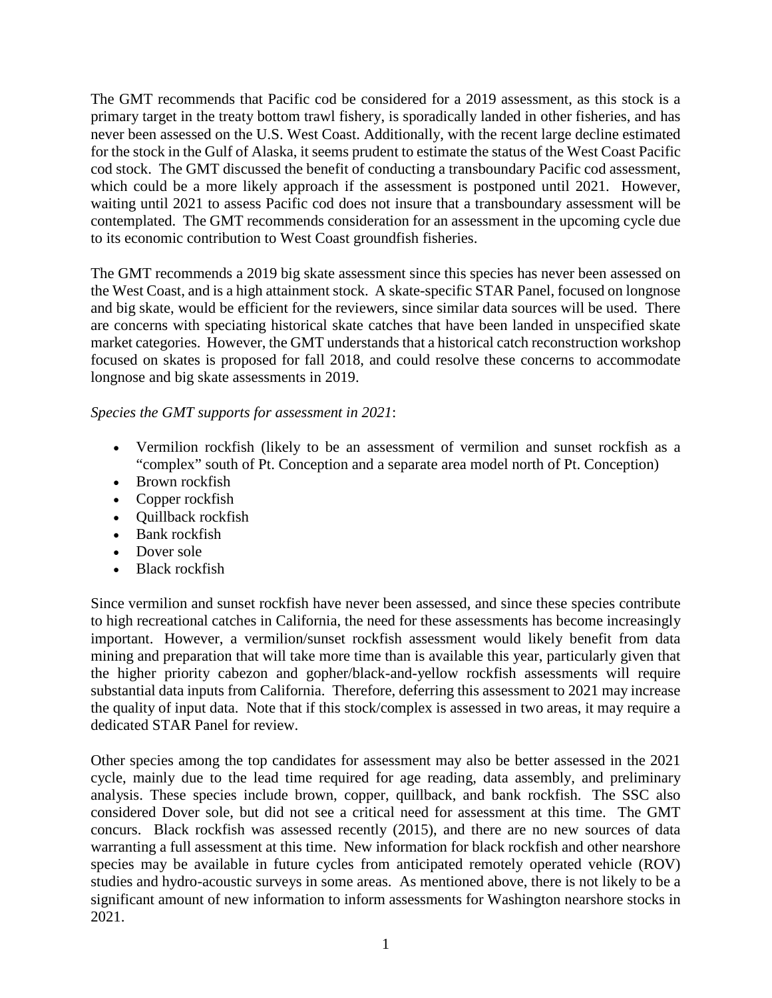The GMT recommends that Pacific cod be considered for a 2019 assessment, as this stock is a primary target in the treaty bottom trawl fishery, is sporadically landed in other fisheries, and has never been assessed on the U.S. West Coast. Additionally, with the recent large decline estimated for the stock in the Gulf of Alaska, it seems prudent to estimate the status of the West Coast Pacific cod stock. The GMT discussed the benefit of conducting a transboundary Pacific cod assessment, which could be a more likely approach if the assessment is postponed until 2021. However, waiting until 2021 to assess Pacific cod does not insure that a transboundary assessment will be contemplated. The GMT recommends consideration for an assessment in the upcoming cycle due to its economic contribution to West Coast groundfish fisheries.

The GMT recommends a 2019 big skate assessment since this species has never been assessed on the West Coast, and is a high attainment stock. A skate-specific STAR Panel, focused on longnose and big skate, would be efficient for the reviewers, since similar data sources will be used. There are concerns with speciating historical skate catches that have been landed in unspecified skate market categories. However, the GMT understands that a historical catch reconstruction workshop focused on skates is proposed for fall 2018, and could resolve these concerns to accommodate longnose and big skate assessments in 2019.

# *Species the GMT supports for assessment in 2021*:

- Vermilion rockfish (likely to be an assessment of vermilion and sunset rockfish as a "complex" south of Pt. Conception and a separate area model north of Pt. Conception)
- Brown rockfish
- Copper rockfish
- Quillback rockfish
- Bank rockfish
- Dover sole
- Black rockfish

Since vermilion and sunset rockfish have never been assessed, and since these species contribute to high recreational catches in California, the need for these assessments has become increasingly important. However, a vermilion/sunset rockfish assessment would likely benefit from data mining and preparation that will take more time than is available this year, particularly given that the higher priority cabezon and gopher/black-and-yellow rockfish assessments will require substantial data inputs from California. Therefore, deferring this assessment to 2021 may increase the quality of input data. Note that if this stock/complex is assessed in two areas, it may require a dedicated STAR Panel for review.

Other species among the top candidates for assessment may also be better assessed in the 2021 cycle, mainly due to the lead time required for age reading, data assembly, and preliminary analysis. These species include brown, copper, quillback, and bank rockfish. The SSC also considered Dover sole, but did not see a critical need for assessment at this time. The GMT concurs. Black rockfish was assessed recently (2015), and there are no new sources of data warranting a full assessment at this time. New information for black rockfish and other nearshore species may be available in future cycles from anticipated remotely operated vehicle (ROV) studies and hydro-acoustic surveys in some areas. As mentioned above, there is not likely to be a significant amount of new information to inform assessments for Washington nearshore stocks in 2021.